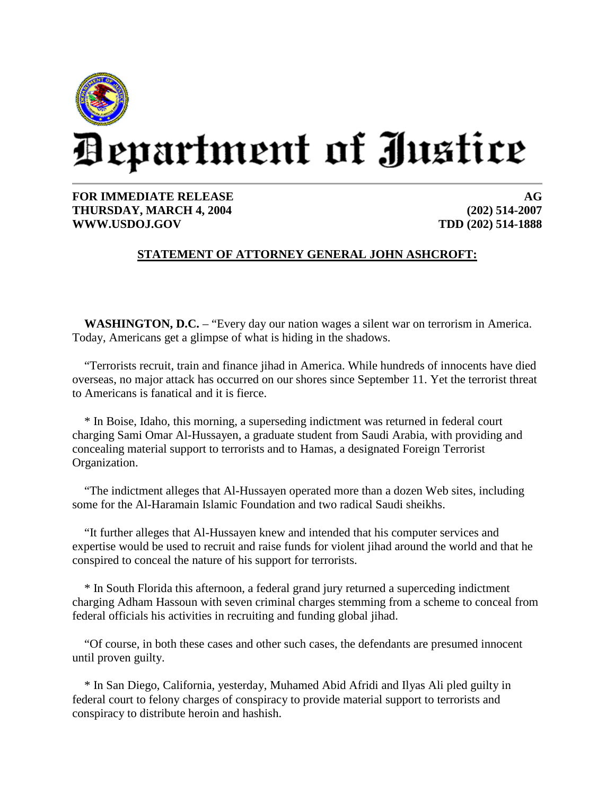

## Department of Justice

**FOR IMMEDIATE RELEASE THURSDAY, MARCH 4, 2004 WWW.USDOJ.GOV**

**AG (202) 514-2007 TDD (202) 514-1888**

## **STATEMENT OF ATTORNEY GENERAL JOHN ASHCROFT:**

**WASHINGTON, D.C.** – "Every day our nation wages a silent war on terrorism in America. Today, Americans get a glimpse of what is hiding in the shadows.

"Terrorists recruit, train and finance jihad in America. While hundreds of innocents have died overseas, no major attack has occurred on our shores since September 11. Yet the terrorist threat to Americans is fanatical and it is fierce.

\* In Boise, Idaho, this morning, a superseding indictment was returned in federal court charging Sami Omar Al-Hussayen, a graduate student from Saudi Arabia, with providing and concealing material support to terrorists and to Hamas, a designated Foreign Terrorist Organization.

"The indictment alleges that Al-Hussayen operated more than a dozen Web sites, including some for the Al-Haramain Islamic Foundation and two radical Saudi sheikhs.

"It further alleges that Al-Hussayen knew and intended that his computer services and expertise would be used to recruit and raise funds for violent jihad around the world and that he conspired to conceal the nature of his support for terrorists.

\* In South Florida this afternoon, a federal grand jury returned a superceding indictment charging Adham Hassoun with seven criminal charges stemming from a scheme to conceal from federal officials his activities in recruiting and funding global jihad.

"Of course, in both these cases and other such cases, the defendants are presumed innocent until proven guilty.

\* In San Diego, California, yesterday, Muhamed Abid Afridi and Ilyas Ali pled guilty in federal court to felony charges of conspiracy to provide material support to terrorists and conspiracy to distribute heroin and hashish.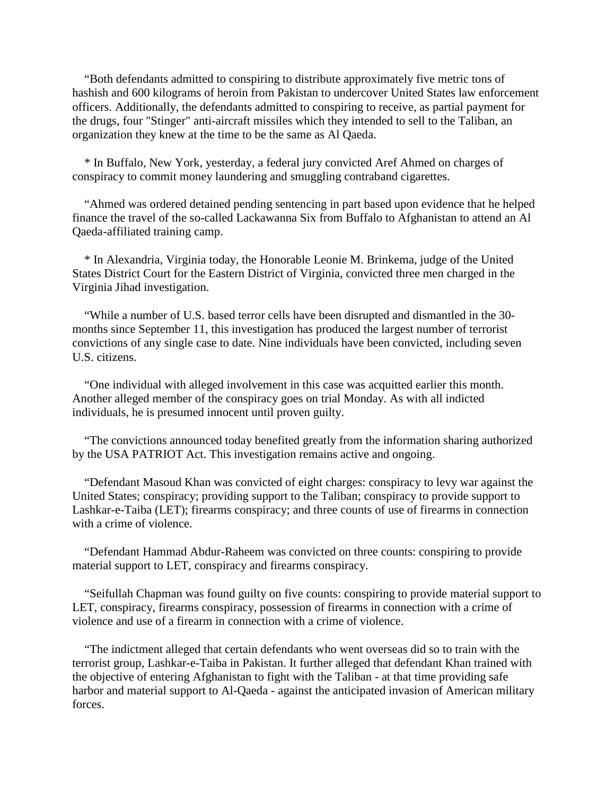"Both defendants admitted to conspiring to distribute approximately five metric tons of hashish and 600 kilograms of heroin from Pakistan to undercover United States law enforcement officers. Additionally, the defendants admitted to conspiring to receive, as partial payment for the drugs, four "Stinger" anti-aircraft missiles which they intended to sell to the Taliban, an organization they knew at the time to be the same as Al Qaeda.

\* In Buffalo, New York, yesterday, a federal jury convicted Aref Ahmed on charges of conspiracy to commit money laundering and smuggling contraband cigarettes.

"Ahmed was ordered detained pending sentencing in part based upon evidence that he helped finance the travel of the so-called Lackawanna Six from Buffalo to Afghanistan to attend an Al Qaeda-affiliated training camp.

\* In Alexandria, Virginia today, the Honorable Leonie M. Brinkema, judge of the United States District Court for the Eastern District of Virginia, convicted three men charged in the Virginia Jihad investigation.

"While a number of U.S. based terror cells have been disrupted and dismantled in the 30 months since September 11, this investigation has produced the largest number of terrorist convictions of any single case to date. Nine individuals have been convicted, including seven U.S. citizens.

"One individual with alleged involvement in this case was acquitted earlier this month. Another alleged member of the conspiracy goes on trial Monday. As with all indicted individuals, he is presumed innocent until proven guilty.

"The convictions announced today benefited greatly from the information sharing authorized by the USA PATRIOT Act. This investigation remains active and ongoing.

"Defendant Masoud Khan was convicted of eight charges: conspiracy to levy war against the United States; conspiracy; providing support to the Taliban; conspiracy to provide support to Lashkar-e-Taiba (LET); firearms conspiracy; and three counts of use of firearms in connection with a crime of violence.

"Defendant Hammad Abdur-Raheem was convicted on three counts: conspiring to provide material support to LET, conspiracy and firearms conspiracy.

"Seifullah Chapman was found guilty on five counts: conspiring to provide material support to LET, conspiracy, firearms conspiracy, possession of firearms in connection with a crime of violence and use of a firearm in connection with a crime of violence.

"The indictment alleged that certain defendants who went overseas did so to train with the terrorist group, Lashkar-e-Taiba in Pakistan. It further alleged that defendant Khan trained with the objective of entering Afghanistan to fight with the Taliban - at that time providing safe harbor and material support to Al-Qaeda - against the anticipated invasion of American military forces.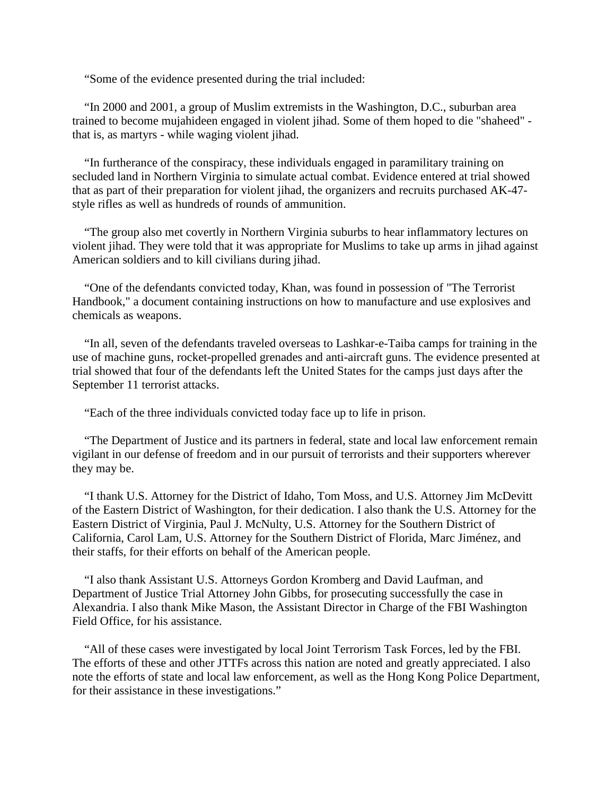"Some of the evidence presented during the trial included:

"In 2000 and 2001, a group of Muslim extremists in the Washington, D.C., suburban area trained to become mujahideen engaged in violent jihad. Some of them hoped to die "shaheed" that is, as martyrs - while waging violent jihad.

"In furtherance of the conspiracy, these individuals engaged in paramilitary training on secluded land in Northern Virginia to simulate actual combat. Evidence entered at trial showed that as part of their preparation for violent jihad, the organizers and recruits purchased AK-47 style rifles as well as hundreds of rounds of ammunition.

"The group also met covertly in Northern Virginia suburbs to hear inflammatory lectures on violent jihad. They were told that it was appropriate for Muslims to take up arms in jihad against American soldiers and to kill civilians during jihad.

"One of the defendants convicted today, Khan, was found in possession of "The Terrorist Handbook," a document containing instructions on how to manufacture and use explosives and chemicals as weapons.

"In all, seven of the defendants traveled overseas to Lashkar-e-Taiba camps for training in the use of machine guns, rocket-propelled grenades and anti-aircraft guns. The evidence presented at trial showed that four of the defendants left the United States for the camps just days after the September 11 terrorist attacks.

"Each of the three individuals convicted today face up to life in prison.

"The Department of Justice and its partners in federal, state and local law enforcement remain vigilant in our defense of freedom and in our pursuit of terrorists and their supporters wherever they may be.

"I thank U.S. Attorney for the District of Idaho, Tom Moss, and U.S. Attorney Jim McDevitt of the Eastern District of Washington, for their dedication. I also thank the U.S. Attorney for the Eastern District of Virginia, Paul J. McNulty, U.S. Attorney for the Southern District of California, Carol Lam, U.S. Attorney for the Southern District of Florida, Marc Jiménez, and their staffs, for their efforts on behalf of the American people.

"I also thank Assistant U.S. Attorneys Gordon Kromberg and David Laufman, and Department of Justice Trial Attorney John Gibbs, for prosecuting successfully the case in Alexandria. I also thank Mike Mason, the Assistant Director in Charge of the FBI Washington Field Office, for his assistance.

"All of these cases were investigated by local Joint Terrorism Task Forces, led by the FBI. The efforts of these and other JTTFs across this nation are noted and greatly appreciated. I also note the efforts of state and local law enforcement, as well as the Hong Kong Police Department, for their assistance in these investigations."